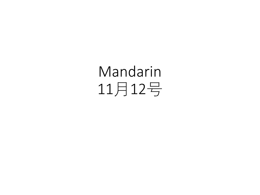## Mandarin 11月12号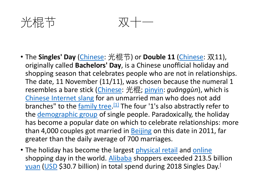

光棍节 双十一

- The **Singles' Day** [\(Chinese](https://en.wikipedia.org/wiki/Simplified_Chinese_characters): 光棍节) or **Double 11** [\(Chinese](https://en.wikipedia.org/wiki/Simplified_Chinese_characters): 双11), originally called **Bachelors' Day**, is a Chinese unofficial holiday and shopping season that celebrates people who are not in relationships. The date, 11 November (11/11), was chosen because the numeral 1 resembles a bare stick [\(Chinese](https://en.wikipedia.org/wiki/Simplified_Chinese_characters): 光棍; [pinyin](https://en.wikipedia.org/wiki/Pinyin): *guānggùn*), which is [Chinese Internet slang](https://en.wikipedia.org/wiki/Chinese_Internet_slang) for an unmarried man who does not add branches" to the [family tree.](https://en.wikipedia.org/wiki/Family_tree)<sup>[\[1\]](https://en.wikipedia.org/wiki/Singles%27_Day#cite_note-1)</sup> The four '1's also abstractly refer to the [demographic group](https://en.wikipedia.org/wiki/Demographics_of_China) of single people. Paradoxically, the holiday has become a popular date on which to celebrate relationships: more than 4,000 couples got married in [Beijing](https://en.wikipedia.org/wiki/Beijing) on this date in 2011, far greater than the daily average of 700 marriages.
- The holiday has become the largest [physical retail](https://en.wikipedia.org/wiki/Brick_and_mortar) and [online](https://en.wikipedia.org/wiki/Online_shopping) shopping day in the world. [Alibaba](https://en.wikipedia.org/wiki/Alibaba_Group) shoppers exceeded 213.5 billion [yuan](https://en.wikipedia.org/wiki/Yuan_(currency)) ([USD](https://en.wikipedia.org/wiki/USD) \$30.7 billion) in total spend during 2018 Singles Day.[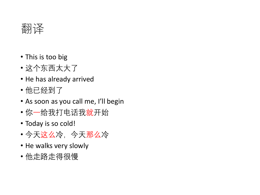

- This is too big
- 这个东西太大了
- He has already arrived
- 他已经到了
- As soon as you call me, I'll begin
- 你一给我打电话我就开始
- Today is so cold!
- 今天这么冷,今天那么冷
- He walks very slowly
- 他走路走得很慢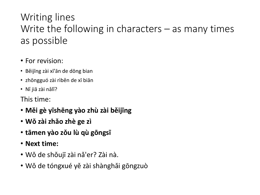## Writing lines Write the following in characters – as many times as possible

- For revision:
- Běijīng zài xī'ān de dōng bian
- zhōngguó zài rìběn de xī biān
- Nǐ jiā zài nǎlǐ?

This time:

- **Měi gè yīshēng yào zhù zài běijīng**
- **Wǒ zài zhǎo zhè ge zì**
- **tāmen yào zǒu lù qù gōngsī**
- **Next time:**
- Wǒ de shǒujī zài nǎ'er? Zài nà.
- Wǒ de tóngxué yě zài shànghǎi gōngzuò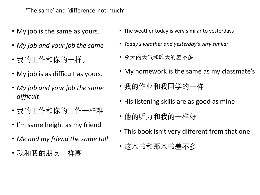'The same' and 'difference-not-much'

- My job is the same as yours.
- *My job and your job the same*
- 我的工作和你的一样。
- My job is as difficult as yours.
- *My job and your job the same difficult*
- 我的工作和你的工作一样难
- I'm same height as my friend
- *Me and my friend the same tall*
- 我和我的朋友一样高
- The weather today is very similar to yesterdays
- *Today's weather and yesterday's very similar*
- 今天的天气和昨天的差不多
- My homework is the same as my classmate's
- 我的作业和我同学的一样
- His listening skills are as good as mine
- 他的听力和我的一样好
- This book isn't very different from that one
- 这本书和那本书差不多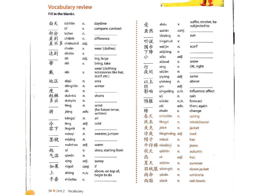## **Vocabulary review**

Fill in the blanks.

 $\sim$ 

¥.

| 白天  | báitiān<br>bĭ | n.<br>v.  | daytime<br>compare, contrast   | 受            | shòu             | v.          | suffer, receive, be<br>subjected to |
|-----|---------------|-----------|--------------------------------|--------------|------------------|-------------|-------------------------------------|
| 部分  | bùfen         | n.        |                                | 虽然           | suīrán           | conj.       |                                     |
| 差别  | chābié        | n.        | difference                     |              | tàiyáng          | n.          | sun                                 |
| 差不多 | chàbuduō      | adj.      |                                | 听说           | tīngshuō         | v.          |                                     |
|     | chuān         | v.        | wear (clothes)                 | 围巾           | wéijīn           | n.          | scarf                               |
| 达到  | dádào         | v.        |                                | 下降           | xiàjiàng         | v.          |                                     |
|     | dà            | adj.      | big, large                     | 小            | xiăo             | adj.        |                                     |
| 带   | dài           | v.        | bring, take                    |              | xiàxuě           | v.          | snow                                |
|     |               |           | wear (clothing                 | 行            | xíng             | v.          | OK, right                           |
| 戴   | dài           | v.        | accessories like hat,          | 夜间           | yèjiān           | n.          |                                     |
|     |               |           | scarf, etc.)                   |              | yīyàng           | adj.        | same                                |
| 地区  | dìqū          | n.        | area                           | 以上           | yishàng          | n.          | above                               |
|     | döngtiän      | n.        | winter                         | 阴            | yīn              | adj.        |                                     |
| 度   | dù            | n.        |                                | 影响           | yǐngxiǎng        | $v_{.}/n$ . | influence; affect                   |
| 短裤  | duǎnkù        | n.        | shorts                         |              | yŭ               | n.          | rain                                |
| 多云  | duōyún        | n.        |                                | 预报           | yùbào            | n./v.       | forecast                            |
|     | fēng          | n.        | wind                           |              | zài              | adv.        | then; again                         |
| 将   | jiāng         | adv.      | (for future tense,<br>written) | 转            | zhuǎn            | v.          | change                              |
|     | köngqì        | n.        | air                            | 春天           | chūntiān         | n.          | spring                              |
|     | lěng          | adj.      | cold                           | 风衣           | fēngyī           | n.          | windcheater                         |
| 冷零下 | língxià       | n.        |                                | 夹克           | jiákè            | n.          | jacket                              |
|     | máoyī         | n.        | sweater, jumper                | 凉爽           | liángshuǎng adj. |             | cool                                |
| 墨镜  | mòjìng        | n.        |                                | 帽子           | màozi            | n.          | hat                                 |
|     | nuănhuo       | adj.      | warm                           | 牛仔裤 niúzǎikù |                  | n.          | jeans                               |
| 起   | qĭ            | v.        | since, starting from           | 秋天           | qiūtiān          | n.          | autumn                              |
| 气温  | qìwēn         | n.        |                                | 热            | rè               | adj.        | hot                                 |
|     | qíng          | adj.      | sunny                          | 夏天           | xiàtiān          | n.          | summer                              |
| 如果  | rúguǒ         | conj.     | if                             |              |                  |             |                                     |
| 上   | shàng         | $n/\nu$ . | above, on top of;              | 羽绒服 yǔróngfú |                  | $n$ .       | down jacket                         |
|     |               |           | begin to do                    | 雨伞           | yůsǎn            | n.          | umbrella                            |
| 手套  | shoutào       | n.        |                                | 雨鞋           | yůxié            | n.          | rain boots                          |

 $b \cdot$ 

34 Unit 2 Vocabulary